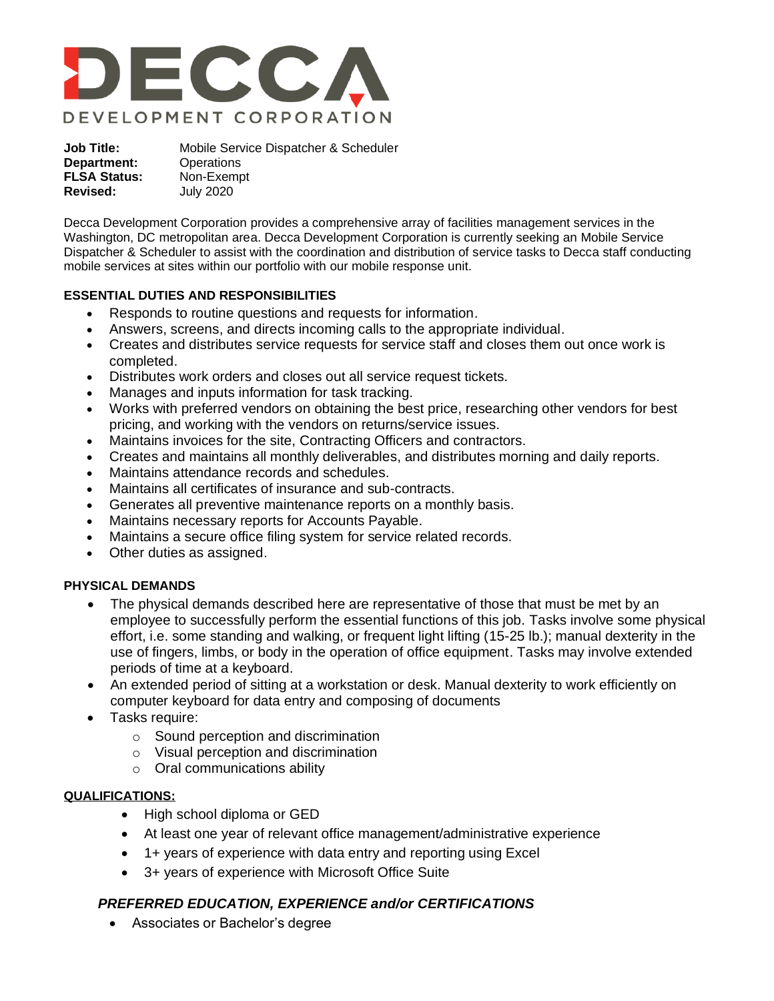

**Job Title:** Mobile Service Dispatcher & Scheduler **Department:** Operations **FLSA Status:** Non-Exempt **Revised:** July 2020

Decca Development Corporation provides a comprehensive array of facilities management services in the Washington, DC metropolitan area. Decca Development Corporation is currently seeking an Mobile Service Dispatcher & Scheduler to assist with the coordination and distribution of service tasks to Decca staff conducting mobile services at sites within our portfolio with our mobile response unit.

### **ESSENTIAL DUTIES AND RESPONSIBILITIES**

- Responds to routine questions and requests for information.
- Answers, screens, and directs incoming calls to the appropriate individual.
- Creates and distributes service requests for service staff and closes them out once work is completed.
- Distributes work orders and closes out all service request tickets.
- Manages and inputs information for task tracking.
- Works with preferred vendors on obtaining the best price, researching other vendors for best pricing, and working with the vendors on returns/service issues.
- Maintains invoices for the site, Contracting Officers and contractors.
- Creates and maintains all monthly deliverables, and distributes morning and daily reports.
- Maintains attendance records and schedules.
- Maintains all certificates of insurance and sub-contracts.
- Generates all preventive maintenance reports on a monthly basis.
- Maintains necessary reports for Accounts Payable.
- Maintains a secure office filing system for service related records.
- Other duties as assigned.

#### **PHYSICAL DEMANDS**

- The physical demands described here are representative of those that must be met by an employee to successfully perform the essential functions of this job. Tasks involve some physical effort, i.e. some standing and walking, or frequent light lifting (15-25 lb.); manual dexterity in the use of fingers, limbs, or body in the operation of office equipment. Tasks may involve extended periods of time at a keyboard.
- An extended period of sitting at a workstation or desk. Manual dexterity to work efficiently on computer keyboard for data entry and composing of documents
- Tasks require:
	- o Sound perception and discrimination
	- o Visual perception and discrimination
	- $\circ$  Oral communications ability

#### **QUALIFICATIONS:**

- High school diploma or GED
- At least one year of relevant office management/administrative experience
- 1+ years of experience with data entry and reporting using Excel
- 3+ years of experience with Microsoft Office Suite

## *PREFERRED EDUCATION, EXPERIENCE and/or CERTIFICATIONS*

• Associates or Bachelor's degree